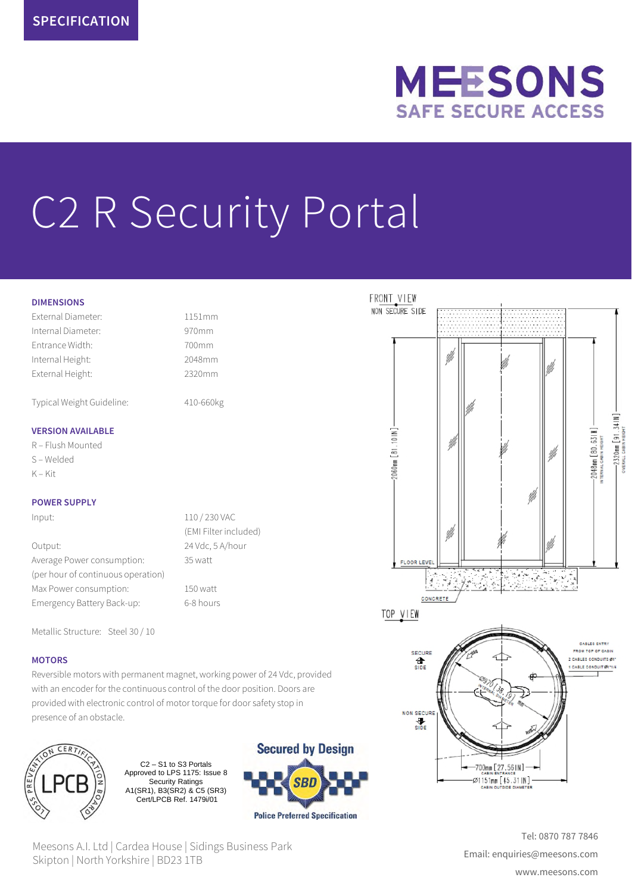

# C2 R Security Portal

### **DIMENSIONS**

External Diameter: 1151mm Internal Diameter: 970mm Entrance Width: 700mm Internal Height: 2048mm External Height: 2320mm

Typical Weight Guideline: 410-660kg

### **VERSION AVAILABLE**

R – Flush Mounted S – Welded K – Kit

### **POWER SUPPLY**

Input: 110 / 230 VAC

Output: 24 Vdc, 5 A/hour Average Power consumption: 35 watt (per hour of continuous operation) Max Power consumption: 150 watt Emergency Battery Back-up: 6-8 hours

(EMI Filter included)

Metallic Structure: Steel 30 / 10

# **MOTORS**

Reversible motors with permanent magnet, working power of 24 Vdc, provided with an encoder for the continuous control of the door position. Doors are provided with electronic control of motor torque for door safety stop in presence of an obstacle.



C2 – S1 to S3 Portals Approved to LPS 1175: Issue 8 Security Ratings A1(SR1), B3(SR2) & C5 (SR3) Cert/LPCB Ref. 1479i/01



Meesons A.I. Ltd | Cardea House | Sidings Business Park Skipton | North Yorkshire | BD23 1TB





Tel: 0870 787 7846 Email: enquiries@meesons.com www.meesons.com